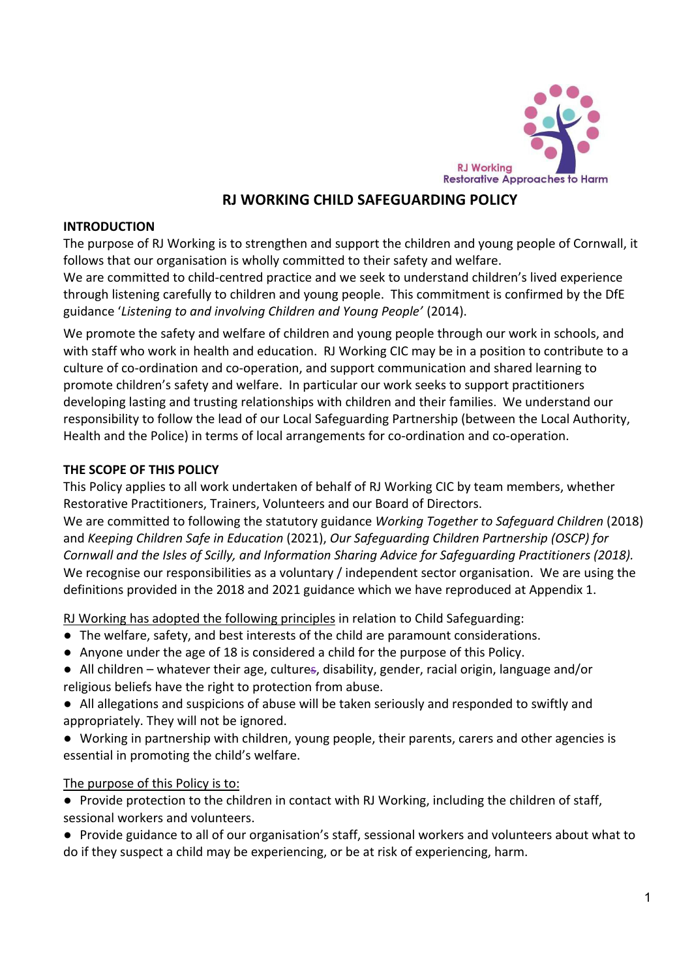

## **RJ WORKING CHILD SAFEGUARDING POLICY**

#### **INTRODUCTION**

The purpose of RJ Working is to strengthen and support the children and young people of Cornwall, it follows that our organisation is wholly committed to their safety and welfare.

We are committed to child-centred practice and we seek to understand children's lived experience through listening carefully to children and young people. This commitment is confirmed by the DfE guidance '*Listening to and involving Children and Young People'* (2014).

We promote the safety and welfare of children and young people through our work in schools, and with staff who work in health and education. RJ Working CIC may be in a position to contribute to a culture of co-ordination and co-operation, and support communication and shared learning to promote children's safety and welfare. In particular our work seeks to support practitioners developing lasting and trusting relationships with children and their families. We understand our responsibility to follow the lead of our Local Safeguarding Partnership (between the Local Authority, Health and the Police) in terms of local arrangements for co-ordination and co-operation.

#### **THE SCOPE OF THIS POLICY**

This Policy applies to all work undertaken of behalf of RJ Working CIC by team members, whether Restorative Practitioners, Trainers, Volunteers and our Board of Directors.

We are committed to following the statutory guidance *Working Together to Safeguard Children* (2018) and *Keeping Children Safe in Education* (2021), *Our Safeguarding Children Partnership (OSCP) for Cornwall and the Isles of Scilly, and Information Sharing Advice for Safeguarding Practitioners (2018).* We recognise our responsibilities as a voluntary / independent sector organisation. We are using the definitions provided in the 2018 and 2021 guidance which we have reproduced at Appendix 1.

RJ Working has adopted the following principles in relation to Child Safeguarding:

- The welfare, safety, and best interests of the child are paramount considerations.
- Anyone under the age of 18 is considered a child for the purpose of this Policy.
- All children whatever their age, cultures, disability, gender, racial origin, language and/or religious beliefs have the right to protection from abuse.
- All allegations and suspicions of abuse will be taken seriously and responded to swiftly and appropriately. They will not be ignored.
- Working in partnership with children, young people, their parents, carers and other agencies is essential in promoting the child's welfare.

#### The purpose of this Policy is to:

● Provide protection to the children in contact with RJ Working, including the children of staff, sessional workers and volunteers.

● Provide guidance to all of our organisation's staff, sessional workers and volunteers about what to do if they suspect a child may be experiencing, or be at risk of experiencing, harm.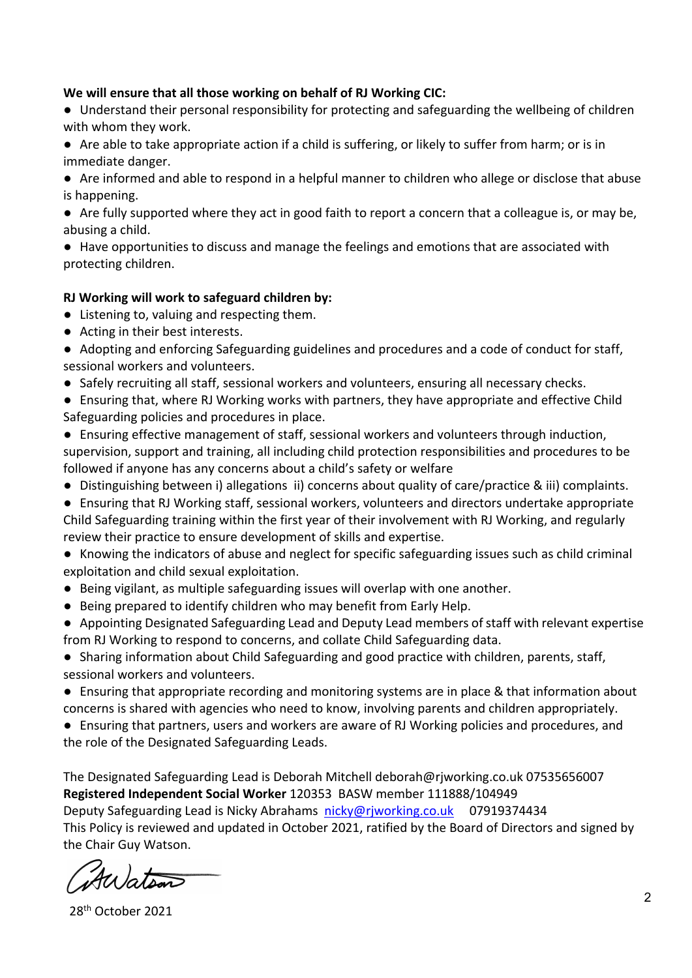#### **We will ensure that all those working on behalf of RJ Working CIC:**

- Understand their personal responsibility for protecting and safeguarding the wellbeing of children with whom they work.
- Are able to take appropriate action if a child is suffering, or likely to suffer from harm; or is in immediate danger.
- Are informed and able to respond in a helpful manner to children who allege or disclose that abuse is happening.
- Are fully supported where they act in good faith to report a concern that a colleague is, or may be, abusing a child.
- Have opportunities to discuss and manage the feelings and emotions that are associated with protecting children.

#### **RJ Working will work to safeguard children by:**

- Listening to, valuing and respecting them.
- Acting in their best interests.
- Adopting and enforcing Safeguarding guidelines and procedures and a code of conduct for staff, sessional workers and volunteers.
- Safely recruiting all staff, sessional workers and volunteers, ensuring all necessary checks.
- Ensuring that, where RJ Working works with partners, they have appropriate and effective Child Safeguarding policies and procedures in place.
- Ensuring effective management of staff, sessional workers and volunteers through induction, supervision, support and training, all including child protection responsibilities and procedures to be followed if anyone has any concerns about a child's safety or welfare
- Distinguishing between i) allegations ii) concerns about quality of care/practice & iii) complaints.
- Ensuring that RJ Working staff, sessional workers, volunteers and directors undertake appropriate Child Safeguarding training within the first year of their involvement with RJ Working, and regularly review their practice to ensure development of skills and expertise.
- Knowing the indicators of abuse and neglect for specific safeguarding issues such as child criminal exploitation and child sexual exploitation.
- Being vigilant, as multiple safeguarding issues will overlap with one another.
- Being prepared to identify children who may benefit from Early Help.
- Appointing Designated Safeguarding Lead and Deputy Lead members of staff with relevant expertise from RJ Working to respond to concerns, and collate Child Safeguarding data.
- Sharing information about Child Safeguarding and good practice with children, parents, staff, sessional workers and volunteers.
- Ensuring that appropriate recording and monitoring systems are in place & that information about concerns is shared with agencies who need to know, involving parents and children appropriately.
- Ensuring that partners, users and workers are aware of RJ Working policies and procedures, and the role of the Designated Safeguarding Leads.

The Designated Safeguarding Lead is Deborah Mitchell deborah@rjworking.co.uk 07535656007 **Registered Independent Social Worker** 120353 BASW member 111888/104949 Deputy Safeguarding Lead is Nicky Abrahams nicky@rjworking.co.uk 07919374434

This Policy is reviewed and updated in October 2021, ratified by the Board of Directors and signed by the Chair Guy Watson.

Auation

28th October 2021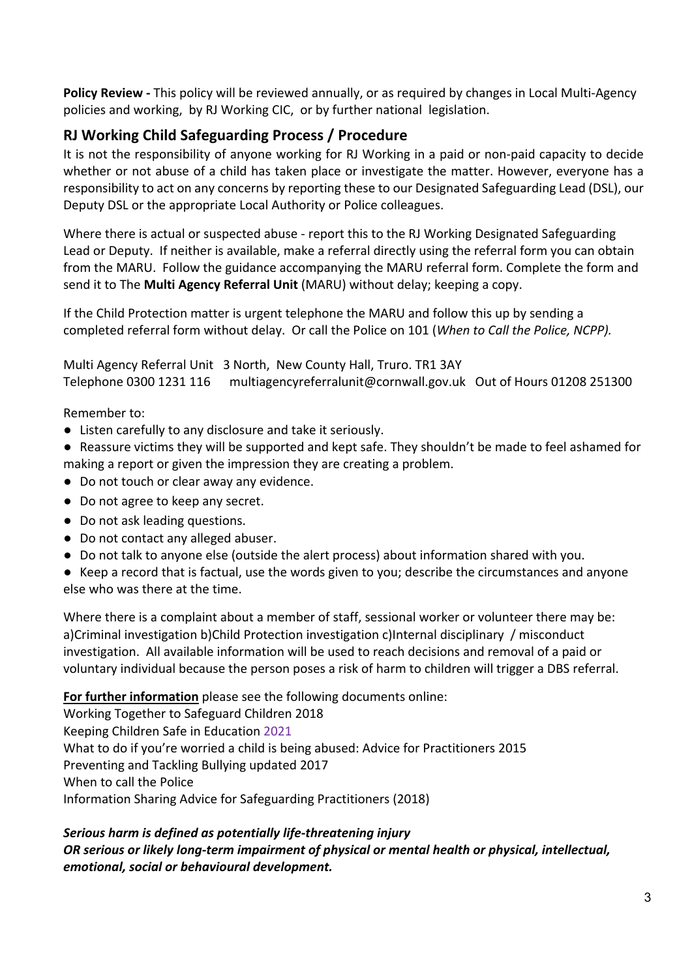**Policy Review -** This policy will be reviewed annually, or as required by changes in Local Multi-Agency policies and working, by RJ Working CIC, or by further national legislation.

## **RJ Working Child Safeguarding Process / Procedure**

It is not the responsibility of anyone working for RJ Working in a paid or non-paid capacity to decide whether or not abuse of a child has taken place or investigate the matter. However, everyone has a responsibility to act on any concerns by reporting these to our Designated Safeguarding Lead (DSL), our Deputy DSL or the appropriate Local Authority or Police colleagues.

Where there is actual or suspected abuse - report this to the RJ Working Designated Safeguarding Lead or Deputy. If neither is available, make a referral directly using the referral form you can obtain from the MARU. Follow the guidance accompanying the MARU referral form. Complete the form and send it to The **Multi Agency Referral Unit** (MARU) without delay; keeping a copy.

If the Child Protection matter is urgent telephone the MARU and follow this up by sending a completed referral form without delay. Or call the Police on 101 (*When to Call the Police, NCPP).* 

Multi Agency Referral Unit 3 North, New County Hall, Truro. TR1 3AY Telephone 0300 1231 116 multiagencyreferralunit@cornwall.gov.uk Out of Hours 01208 251300

Remember to:

- Listen carefully to any disclosure and take it seriously.
- Reassure victims they will be supported and kept safe. They shouldn't be made to feel ashamed for making a report or given the impression they are creating a problem.
- Do not touch or clear away any evidence.
- Do not agree to keep any secret.
- Do not ask leading questions.
- Do not contact any alleged abuser.
- Do not talk to anyone else (outside the alert process) about information shared with you.
- Keep a record that is factual, use the words given to you; describe the circumstances and anyone else who was there at the time.

Where there is a complaint about a member of staff, sessional worker or volunteer there may be: a)Criminal investigation b)Child Protection investigation c)Internal disciplinary / misconduct investigation. All available information will be used to reach decisions and removal of a paid or voluntary individual because the person poses a risk of harm to children will trigger a DBS referral.

**For further information** please see the following documents online:

Working Together to Safeguard Children 2018 Keeping Children Safe in Education 2021 What to do if you're worried a child is being abused: Advice for Practitioners 2015 Preventing and Tackling Bullying updated 2017 When to call the Police Information Sharing Advice for Safeguarding Practitioners (2018)

## *Serious harm is defined as potentially life-threatening injury OR serious or likely long-term impairment of physical or mental health or physical, intellectual, emotional, social or behavioural development.*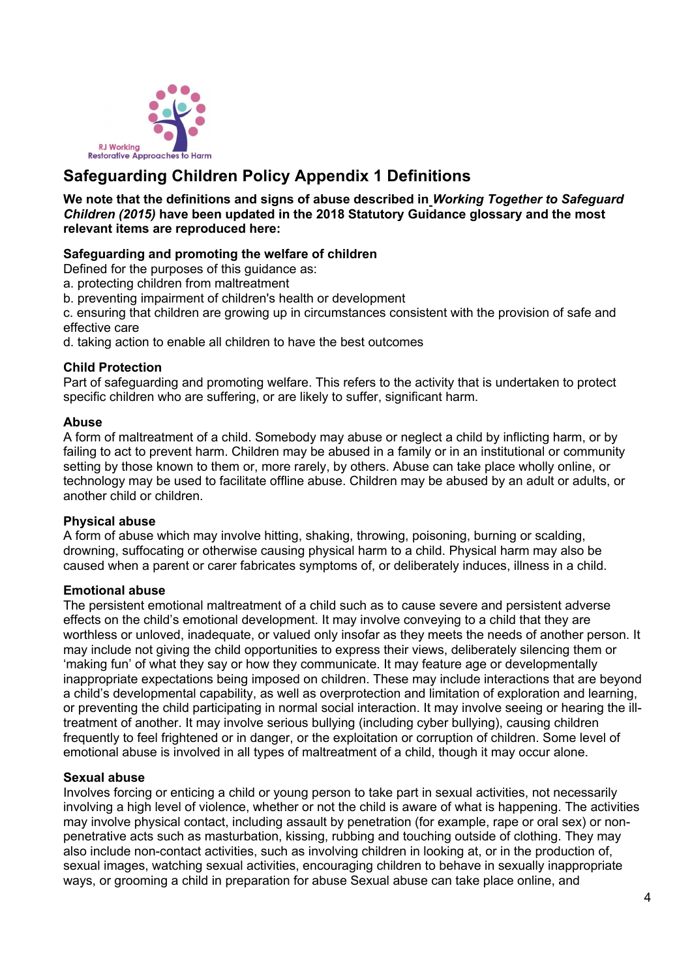

# **Safeguarding Children Policy Appendix 1 Definitions**

**We note that the definitions and signs of abuse described in** *Working Together to Safeguard Children (2015)* **have been updated in the 2018 Statutory Guidance glossary and the most relevant items are reproduced here:**

## **Safeguarding and promoting the welfare of children**

Defined for the purposes of this guidance as:

- a. protecting children from maltreatment
- b. preventing impairment of children's health or development

c. ensuring that children are growing up in circumstances consistent with the provision of safe and effective care

d. taking action to enable all children to have the best outcomes

#### **Child Protection**

Part of safeguarding and promoting welfare. This refers to the activity that is undertaken to protect specific children who are suffering, or are likely to suffer, significant harm.

#### **Abuse**

A form of maltreatment of a child. Somebody may abuse or neglect a child by inflicting harm, or by failing to act to prevent harm. Children may be abused in a family or in an institutional or community setting by those known to them or, more rarely, by others. Abuse can take place wholly online, or technology may be used to facilitate offline abuse. Children may be abused by an adult or adults, or another child or children.

#### **Physical abuse**

A form of abuse which may involve hitting, shaking, throwing, poisoning, burning or scalding, drowning, suffocating or otherwise causing physical harm to a child. Physical harm may also be caused when a parent or carer fabricates symptoms of, or deliberately induces, illness in a child.

#### **Emotional abuse**

The persistent emotional maltreatment of a child such as to cause severe and persistent adverse effects on the child's emotional development. It may involve conveying to a child that they are worthless or unloved, inadequate, or valued only insofar as they meets the needs of another person. It may include not giving the child opportunities to express their views, deliberately silencing them or 'making fun' of what they say or how they communicate. It may feature age or developmentally inappropriate expectations being imposed on children. These may include interactions that are beyond a child's developmental capability, as well as overprotection and limitation of exploration and learning, or preventing the child participating in normal social interaction. It may involve seeing or hearing the illtreatment of another. It may involve serious bullying (including cyber bullying), causing children frequently to feel frightened or in danger, or the exploitation or corruption of children. Some level of emotional abuse is involved in all types of maltreatment of a child, though it may occur alone.

#### **Sexual abuse**

Involves forcing or enticing a child or young person to take part in sexual activities, not necessarily involving a high level of violence, whether or not the child is aware of what is happening. The activities may involve physical contact, including assault by penetration (for example, rape or oral sex) or nonpenetrative acts such as masturbation, kissing, rubbing and touching outside of clothing. They may also include non-contact activities, such as involving children in looking at, or in the production of, sexual images, watching sexual activities, encouraging children to behave in sexually inappropriate ways, or grooming a child in preparation for abuse Sexual abuse can take place online, and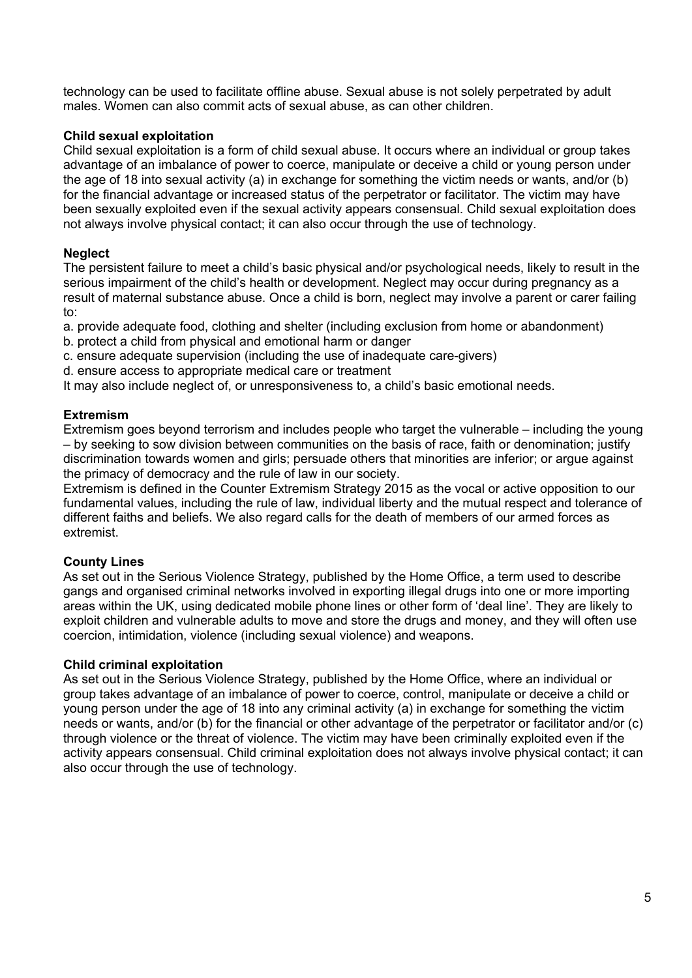technology can be used to facilitate offline abuse. Sexual abuse is not solely perpetrated by adult males. Women can also commit acts of sexual abuse, as can other children.

#### **Child sexual exploitation**

Child sexual exploitation is a form of child sexual abuse. It occurs where an individual or group takes advantage of an imbalance of power to coerce, manipulate or deceive a child or young person under the age of 18 into sexual activity (a) in exchange for something the victim needs or wants, and/or (b) for the financial advantage or increased status of the perpetrator or facilitator. The victim may have been sexually exploited even if the sexual activity appears consensual. Child sexual exploitation does not always involve physical contact; it can also occur through the use of technology.

## **Neglect**

The persistent failure to meet a child's basic physical and/or psychological needs, likely to result in the serious impairment of the child's health or development. Neglect may occur during pregnancy as a result of maternal substance abuse. Once a child is born, neglect may involve a parent or carer failing to:

a. provide adequate food, clothing and shelter (including exclusion from home or abandonment)

- b. protect a child from physical and emotional harm or danger
- c. ensure adequate supervision (including the use of inadequate care-givers)
- d. ensure access to appropriate medical care or treatment

It may also include neglect of, or unresponsiveness to, a child's basic emotional needs.

## **Extremism**

Extremism goes beyond terrorism and includes people who target the vulnerable – including the young – by seeking to sow division between communities on the basis of race, faith or denomination; justify discrimination towards women and girls; persuade others that minorities are inferior; or argue against the primacy of democracy and the rule of law in our society.

Extremism is defined in the Counter Extremism Strategy 2015 as the vocal or active opposition to our fundamental values, including the rule of law, individual liberty and the mutual respect and tolerance of different faiths and beliefs. We also regard calls for the death of members of our armed forces as extremist.

## **County Lines**

As set out in the Serious Violence Strategy, published by the Home Office, a term used to describe gangs and organised criminal networks involved in exporting illegal drugs into one or more importing areas within the UK, using dedicated mobile phone lines or other form of 'deal line'. They are likely to exploit children and vulnerable adults to move and store the drugs and money, and they will often use coercion, intimidation, violence (including sexual violence) and weapons.

## **Child criminal exploitation**

As set out in the Serious Violence Strategy, published by the Home Office, where an individual or group takes advantage of an imbalance of power to coerce, control, manipulate or deceive a child or young person under the age of 18 into any criminal activity (a) in exchange for something the victim needs or wants, and/or (b) for the financial or other advantage of the perpetrator or facilitator and/or (c) through violence or the threat of violence. The victim may have been criminally exploited even if the activity appears consensual. Child criminal exploitation does not always involve physical contact; it can also occur through the use of technology.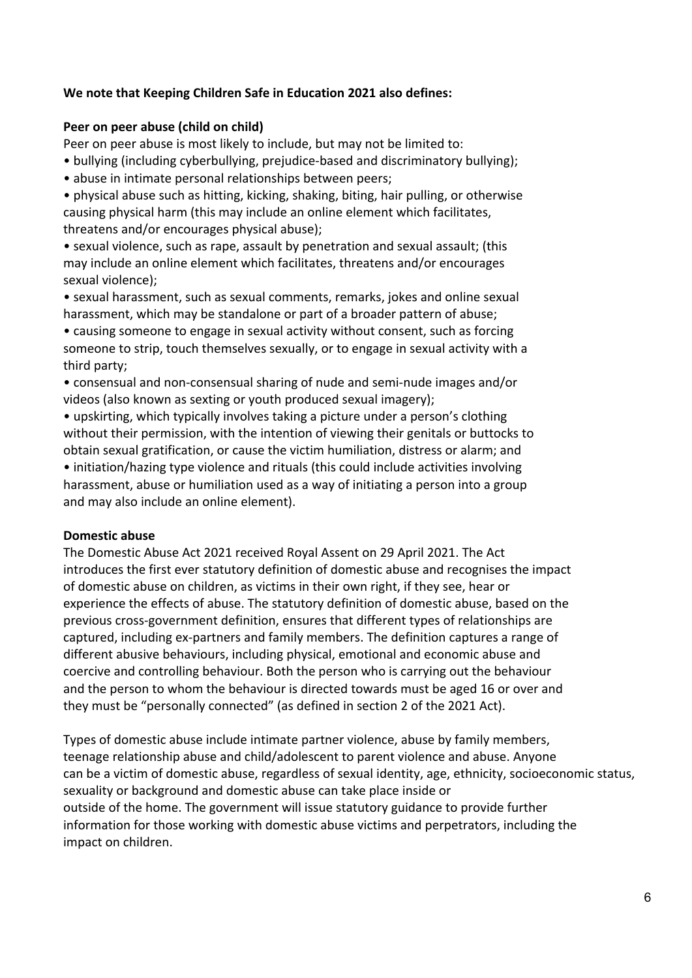## **We note that Keeping Children Safe in Education 2021 also defines:**

#### **Peer on peer abuse (child on child)**

Peer on peer abuse is most likely to include, but may not be limited to:

- bullying (including cyberbullying, prejudice-based and discriminatory bullying);
- abuse in intimate personal relationships between peers;

• physical abuse such as hitting, kicking, shaking, biting, hair pulling, or otherwise causing physical harm (this may include an online element which facilitates, threatens and/or encourages physical abuse);

• sexual violence, such as rape, assault by penetration and sexual assault; (this may include an online element which facilitates, threatens and/or encourages sexual violence);

• sexual harassment, such as sexual comments, remarks, jokes and online sexual harassment, which may be standalone or part of a broader pattern of abuse;

• causing someone to engage in sexual activity without consent, such as forcing someone to strip, touch themselves sexually, or to engage in sexual activity with a third party;

• consensual and non-consensual sharing of nude and semi-nude images and/or videos (also known as sexting or youth produced sexual imagery);

• upskirting, which typically involves taking a picture under a person's clothing without their permission, with the intention of viewing their genitals or buttocks to obtain sexual gratification, or cause the victim humiliation, distress or alarm; and • initiation/hazing type violence and rituals (this could include activities involving harassment, abuse or humiliation used as a way of initiating a person into a group and may also include an online element).

#### **Domestic abuse**

The Domestic Abuse Act 2021 received Royal Assent on 29 April 2021. The Act introduces the first ever statutory definition of domestic abuse and recognises the impact of domestic abuse on children, as victims in their own right, if they see, hear or experience the effects of abuse. The statutory definition of domestic abuse, based on the previous cross-government definition, ensures that different types of relationships are captured, including ex-partners and family members. The definition captures a range of different abusive behaviours, including physical, emotional and economic abuse and coercive and controlling behaviour. Both the person who is carrying out the behaviour and the person to whom the behaviour is directed towards must be aged 16 or over and they must be "personally connected" (as defined in section 2 of the 2021 Act).

Types of domestic abuse include intimate partner violence, abuse by family members, teenage relationship abuse and child/adolescent to parent violence and abuse. Anyone can be a victim of domestic abuse, regardless of sexual identity, age, ethnicity, socioeconomic status, sexuality or background and domestic abuse can take place inside or outside of the home. The government will issue statutory guidance to provide further information for those working with domestic abuse victims and perpetrators, including the impact on children.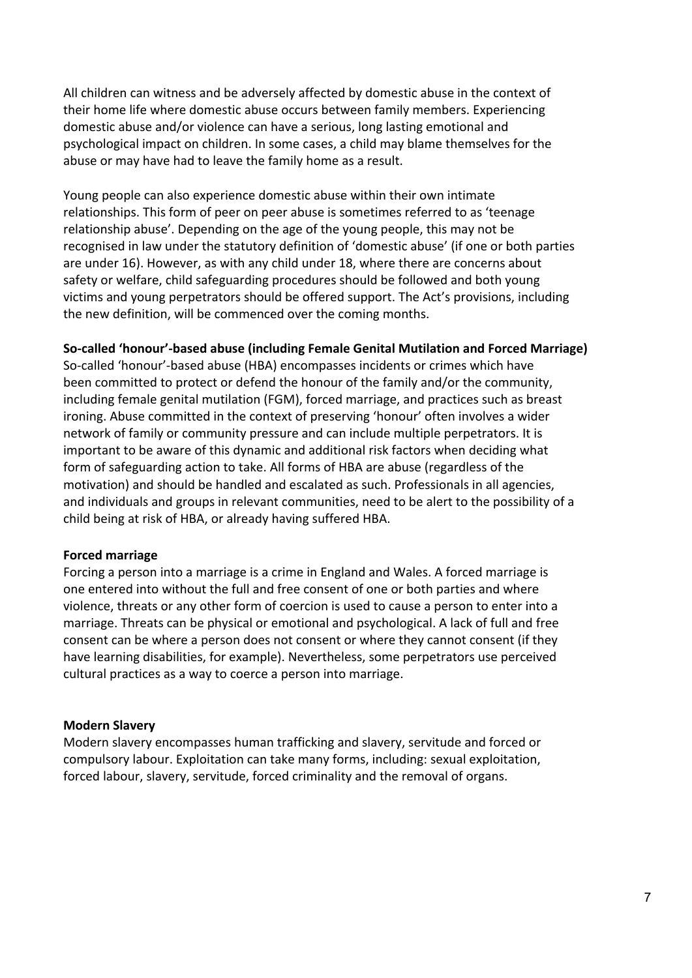All children can witness and be adversely affected by domestic abuse in the context of their home life where domestic abuse occurs between family members. Experiencing domestic abuse and/or violence can have a serious, long lasting emotional and psychological impact on children. In some cases, a child may blame themselves for the abuse or may have had to leave the family home as a result.

Young people can also experience domestic abuse within their own intimate relationships. This form of peer on peer abuse is sometimes referred to as 'teenage relationship abuse'. Depending on the age of the young people, this may not be recognised in law under the statutory definition of 'domestic abuse' (if one or both parties are under 16). However, as with any child under 18, where there are concerns about safety or welfare, child safeguarding procedures should be followed and both young victims and young perpetrators should be offered support. The Act's provisions, including the new definition, will be commenced over the coming months.

#### **So-called 'honour'-based abuse (including Female Genital Mutilation and Forced Marriage)**

So-called 'honour'-based abuse (HBA) encompasses incidents or crimes which have been committed to protect or defend the honour of the family and/or the community, including female genital mutilation (FGM), forced marriage, and practices such as breast ironing. Abuse committed in the context of preserving 'honour' often involves a wider network of family or community pressure and can include multiple perpetrators. It is important to be aware of this dynamic and additional risk factors when deciding what form of safeguarding action to take. All forms of HBA are abuse (regardless of the motivation) and should be handled and escalated as such. Professionals in all agencies, and individuals and groups in relevant communities, need to be alert to the possibility of a child being at risk of HBA, or already having suffered HBA.

#### **Forced marriage**

Forcing a person into a marriage is a crime in England and Wales. A forced marriage is one entered into without the full and free consent of one or both parties and where violence, threats or any other form of coercion is used to cause a person to enter into a marriage. Threats can be physical or emotional and psychological. A lack of full and free consent can be where a person does not consent or where they cannot consent (if they have learning disabilities, for example). Nevertheless, some perpetrators use perceived cultural practices as a way to coerce a person into marriage.

#### **Modern Slavery**

Modern slavery encompasses human trafficking and slavery, servitude and forced or compulsory labour. Exploitation can take many forms, including: sexual exploitation, forced labour, slavery, servitude, forced criminality and the removal of organs.